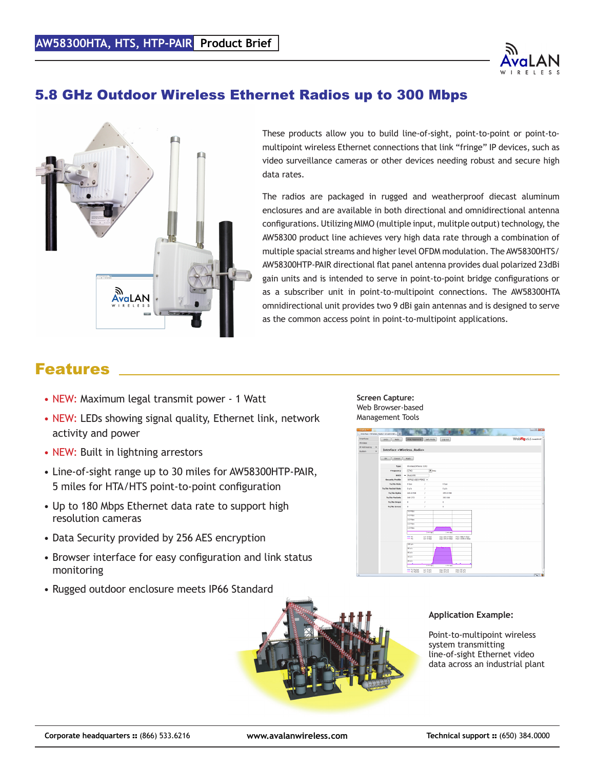

### 5.8 GHz Outdoor Wireless Ethernet Radios up to 300 Mbps



These products allow you to build line-of-sight, point-to-point or point-tomultipoint wireless Ethernet connections that link "fringe" IP devices, such as video surveillance cameras or other devices needing robust and secure high data rates.

The radios are packaged in rugged and weatherproof diecast aluminum enclosures and are available in both directional and omnidirectional antenna configurations. Utilizing MIMO (multiple input, mulitple output) technology, the AW58300 product line achieves very high data rate through a combination of multiple spacial streams and higher level OFDM modulation. The AW58300HTS/ AW58300HTP-PAIR directional flat panel antenna provides dual polarized 23dBi gain units and is intended to serve in point-to-point bridge configurations or as a subscriber unit in point-to-multipoint connections. The AW58300HTA omnidirectional unit provides two 9 dBi gain antennas and is designed to serve as the common access point in point-to-multipoint applications.

## Features

- NEW: Maximum legal transmit power 1 Watt
- NEW: LEDs showing signal quality, Ethernet link, network activity and power
- NEW: Built in lightning arrestors
- Line-of-sight range up to 30 miles for AW58300HTP-PAIR, 5 miles for HTA/HTS point-to-point configuration
- Up to 180 Mbps Ethernet data rate to support high resolution cameras
- Data Security provided by 256 AES encryption
- Browser interface for easy configuration and link status monitoring
- Rugged outdoor enclosure meets IP66 Standard

**Screen Capture:** Web Browser-based Management Tools





#### **Application Example:**

Point-to-multipoint wireless system transmitting line-of-sight Ethernet video data across an industrial plant